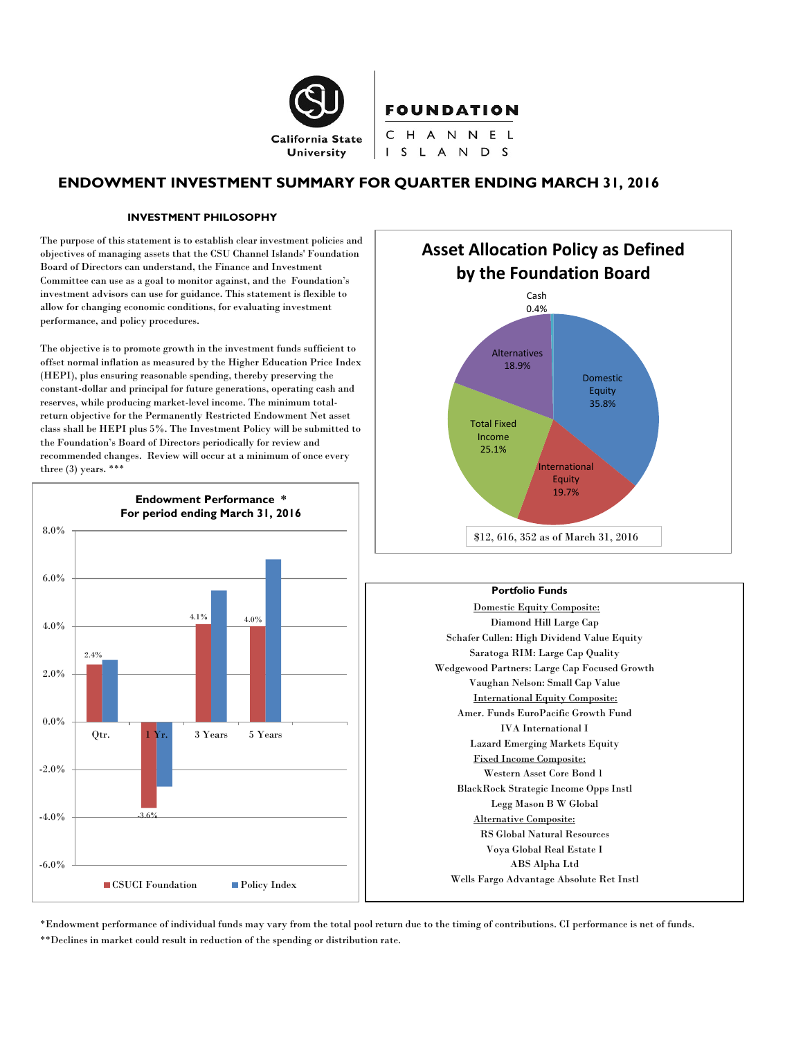

## **ENDOWMENT INVESTMENT SUMMARY FOR QUARTER ENDING MARCH 31, 2016**

S L A N D S

#### **INVESTMENT PHILOSOPHY**

The purpose of this statement is to establish clear investment policies and objectives of managing assets that the CSU Channel Islands' Foundation Board of Directors can understand, the Finance and Investment Committee can use as a goal to monitor against, and the Foundation's investment advisors can use for guidance. This statement is flexible to allow for changing economic conditions, for evaluating investment performance, and policy procedures.

The objective is to promote growth in the investment funds sufficient to offset normal inflation as measured by the Higher Education Price Index (HEPI), plus ensuring reasonable spending, thereby preserving the constant-dollar and principal for future generations, operating cash and reserves, while producing market-level income. The minimum totalreturn objective for the Permanently Restricted Endowment Net asset class shall be HEPI plus 5%. The Investment Policy will be submitted to the Foundation's Board of Directors periodically for review and recommended changes. Review will occur at a minimum of once every three  $(3)$  years. \*\*\*





#### **Portfolio Funds**

Domestic Equity Composite: Diamond Hill Large Cap Schafer Cullen: High Dividend Value Equity Saratoga RIM: Large Cap Quality Wedgewood Partners: Large Cap Focused Growth Vaughan Nelson: Small Cap Value International Equity Composite: Amer. Funds EuroPacific Growth Fund IVA International I Lazard Emerging Markets Equity Fixed Income Composite: Western Asset Core Bond 1 BlackRock Strategic Income Opps Instl Legg Mason B W Global Alternative Composite: RS Global Natural Resources Voya Global Real Estate I ABS Alpha Ltd Wells Fargo Advantage Absolute Ret Instl

\*Endowment performance of individual funds may vary from the total pool return due to the timing of contributions. CI performance is net of funds. \*\*Declines in market could result in reduction of the spending or distribution rate.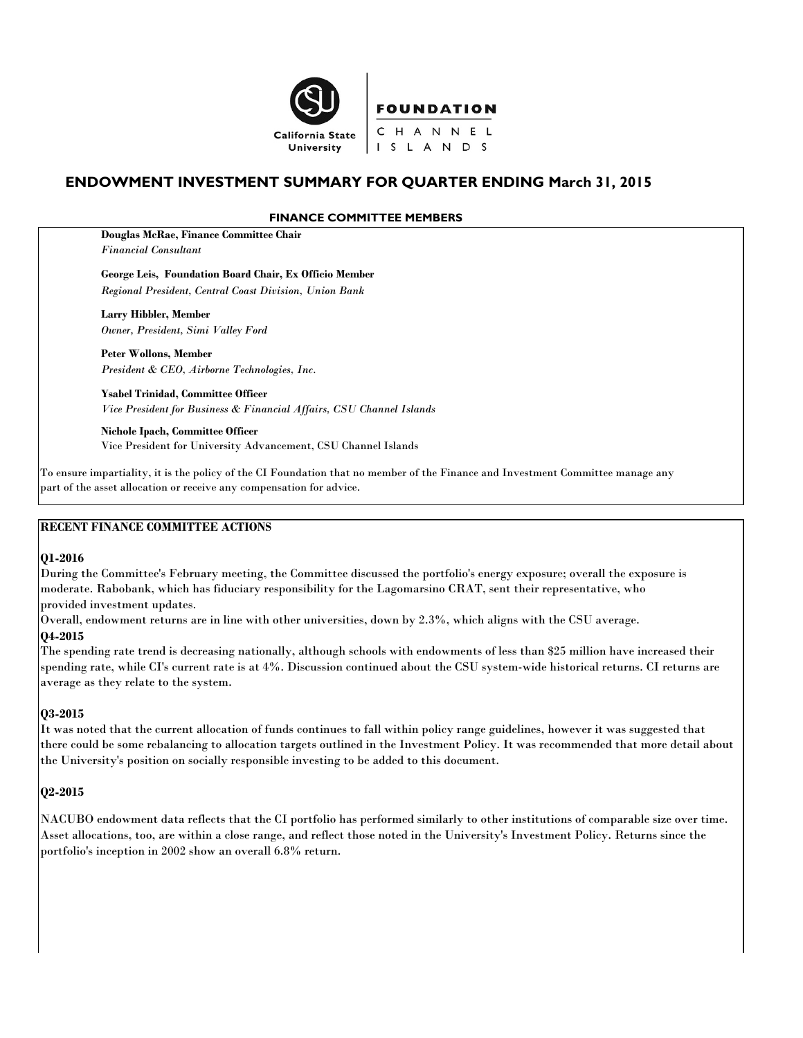

# **ENDOWMENT INVESTMENT SUMMARY FOR QUARTER ENDING March 31, 2015**

### **FINANCE COMMITTEE MEMBERS**

**Douglas McRae, Finance Committee Chair** *Financial Consultant*

**George Leis, Foundation Board Chair, Ex Officio Member** *Regional President, Central Coast Division, Union Bank*

**Larry Hibbler, Member** *Owner, President, Simi Valley Ford*

**Peter Wollons, Member** *President & CEO, Airborne Technologies, Inc.*

**Ysabel Trinidad, Committee Officer** *Vice President for Business & Financial Affairs, CSU Channel Islands*

**Nichole Ipach, Committee Officer** Vice President for University Advancement, CSU Channel Islands

To ensure impartiality, it is the policy of the CI Foundation that no member of the Finance and Investment Committee manage any part of the asset allocation or receive any compensation for advice.

#### **RECENT FINANCE COMMITTEE ACTIONS**

#### **Q1-2016**

During the Committee's February meeting, the Committee discussed the portfolio's energy exposure; overall the exposure is moderate. Rabobank, which has fiduciary responsibility for the Lagomarsino CRAT, sent their representative, who provided investment updates.

Overall, endowment returns are in line with other universities, down by 2.3%, which aligns with the CSU average.

#### **Q4-2015**

The spending rate trend is decreasing nationally, although schools with endowments of less than \$25 million have increased their spending rate, while CI's current rate is at 4%. Discussion continued about the CSU system-wide historical returns. CI returns are average as they relate to the system.

#### **Q3-2015**

It was noted that the current allocation of funds continues to fall within policy range guidelines, however it was suggested that there could be some rebalancing to allocation targets outlined in the Investment Policy. It was recommended that more detail about the University's position on socially responsible investing to be added to this document.

## **Q2-2015**

NACUBO endowment data reflects that the CI portfolio has performed similarly to other institutions of comparable size over time. Asset allocations, too, are within a close range, and reflect those noted in the University's Investment Policy. Returns since the portfolio's inception in 2002 show an overall 6.8% return.